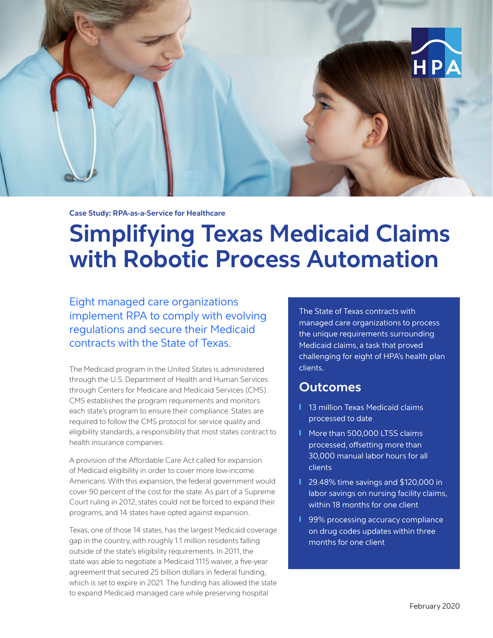

**Case Study: RPA-as-a-Service for Healthcare** 

# **Simplifying Texas Medicaid Claims with Robotic Process Automation**

Eight managed care organizations implement RPA to comply with evolving regulations and secure their Medicaid contracts with the State of Texas.

The Medicaid program in the United States is administered through the U.S. Department of Health and Human Services through Centers for Medicare and Medicaid Services (CMS). CMS establishes the program requirements and monitors each state's program to ensure their compliance. States are required to follow the CMS protocol for service quality and eligibility standards, a responsibility that most states contract to health insurance companies.

A provision of the Affordable Care Act called for expansion of Medicaid eligibility in order to cover more low-income Americans. With this expansion, the federal government would cover 90 percent of the cost for the state. As part of a Supreme Court ruling in 2012, states could not be forced to expand their programs, and 14 states have opted against expansion.

Texas, one of those 14 states, has the largest Medicaid coverage gap in the country, with roughly 1.1 million residents falling outside of the state's eligibility requirements. In 2011, the state was able to negotiate a Medicaid 1115 waiver, a five-year agreement that secured 25 billion dollars in federal funding, which is set to expire in 2021. The funding has allowed the state to expand Medicaid managed care while preserving hospital

The State of Texas contracts with managed care organizations to process the unique requirements surrounding Medicaid claims, a task that proved challenging for eight of HPA's health plan clients.

# **Outcomes**

- 13 million Texas Medicaid claims processed to date
- More than 500,000 LTSS claims processed, offsetting more than 30,000 manual labor hours for all clients
- 29.48% time savings and \$120,000 in labor savings on nursing facility claims, within 18 months for one client
- 99% processing accuracy compliance on drug codes updates within three months for one client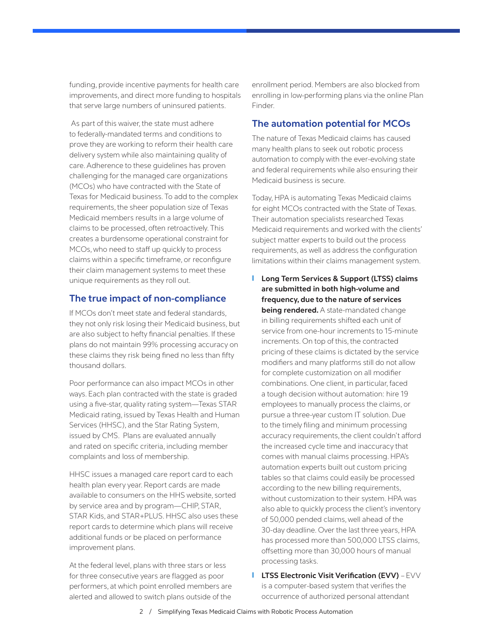funding, provide incentive payments for health care improvements, and direct more funding to hospitals that serve large numbers of uninsured patients.

 As part of this waiver, the state must adhere to federally-mandated terms and conditions to prove they are working to reform their health care delivery system while also maintaining quality of care. Adherence to these guidelines has proven challenging for the managed care organizations (MCOs) who have contracted with the State of Texas for Medicaid business. To add to the complex requirements, the sheer population size of Texas Medicaid members results in a large volume of claims to be processed, often retroactively. This creates a burdensome operational constraint for MCOs, who need to staff up quickly to process claims within a specific timeframe, or reconfigure their claim management systems to meet these unique requirements as they roll out.

## **The true impact of non-compliance**

If MCOs don't meet state and federal standards, they not only risk losing their Medicaid business, but are also subject to hefty financial penalties. If these plans do not maintain 99% processing accuracy on these claims they risk being fined no less than fifty thousand dollars.

Poor performance can also impact MCOs in other ways. Each plan contracted with the state is graded using a five-star, quality rating system—Texas STAR Medicaid rating, issued by Texas Health and Human Services (HHSC), and the Star Rating System, issued by CMS. Plans are evaluated annually and rated on specific criteria, including member complaints and loss of membership.

HHSC issues a managed care report card to each health plan every year. Report cards are made available to consumers on the HHS website, sorted by service area and by program—CHIP, STAR, STAR Kids, and STAR+PLUS. HHSC also uses these report cards to determine which plans will receive additional funds or be placed on performance improvement plans.

At the federal level, plans with three stars or less for three consecutive years are flagged as poor performers, at which point enrolled members are alerted and allowed to switch plans outside of the

enrollment period. Members are also blocked from enrolling in low-performing plans via the online Plan Finder.

# **The automation potential for MCOs**

The nature of Texas Medicaid claims has caused many health plans to seek out robotic process automation to comply with the ever-evolving state and federal requirements while also ensuring their Medicaid business is secure.

Today, HPA is automating Texas Medicaid claims for eight MCOs contracted with the State of Texas. Their automation specialists researched Texas Medicaid requirements and worked with the clients' subject matter experts to build out the process requirements, as well as address the configuration limitations within their claims management system.

- ❙ **Long Term Services & Support (LTSS) claims are submitted in both high-volume and frequency, due to the nature of services being rendered.** A state-mandated change in billing requirements shifted each unit of service from one-hour increments to 15-minute increments. On top of this, the contracted pricing of these claims is dictated by the service modifiers and many platforms still do not allow for complete customization on all modifier combinations. One client, in particular, faced a tough decision without automation: hire 19 employees to manually process the claims, or pursue a three-year custom IT solution. Due to the timely filing and minimum processing accuracy requirements, the client couldn't afford the increased cycle time and inaccuracy that comes with manual claims processing. HPA's automation experts built out custom pricing tables so that claims could easily be processed according to the new billing requirements, without customization to their system. HPA was also able to quickly process the client's inventory of 50,000 pended claims, well ahead of the 30-day deadline. Over the last three years, HPA has processed more than 500,000 LTSS claims, offsetting more than 30,000 hours of manual processing tasks.
- **I** LTSS Electronic Visit Verification (EVV) EVV is a computer-based system that verifies the occurrence of authorized personal attendant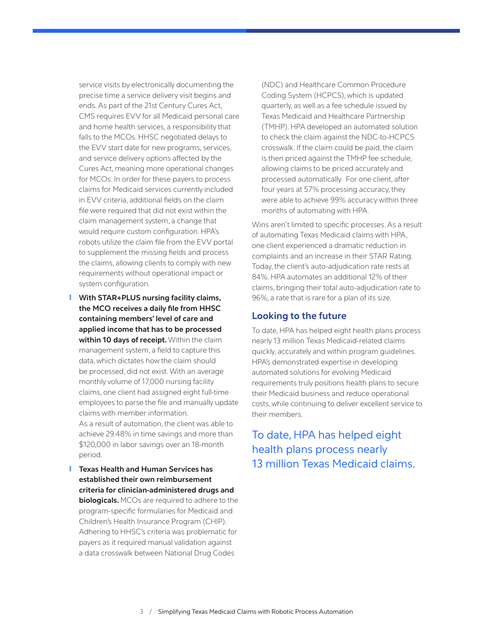service visits by electronically documenting the precise time a service delivery visit begins and ends. As part of the 21st Century Cures Act, CMS requires EVV for all Medicaid personal care and home health services, a responsibility that falls to the MCOs. HHSC negotiated delays to the EVV start date for new programs, services, and service delivery options affected by the Cures Act, meaning more operational changes for MCOs. In order for these payers to process claims for Medicaid services currently included in EVV criteria, additional fields on the claim file were required that did not exist within the claim management system, a change that would require custom configuration. HPA's robots utilize the claim file from the EVV portal to supplement the missing fields and process the claims, allowing clients to comply with new requirements without operational impact or system configuration.

- ❙ **With STAR+PLUS nursing facility claims, the MCO receives a daily file from HHSC containing members' level of care and applied income that has to be processed within 10 days of receipt.** Within the claim management system, a field to capture this data, which dictates how the claim should be processed, did not exist. With an average monthly volume of 17,000 nursing facility claims, one client had assigned eight full-time employees to parse the file and manually update claims with member information. As a result of automation, the client was able to achieve 29.48% in time savings and more than \$120,000 in labor savings over an 18-month period.
- ❙ **Texas Health and Human Services has established their own reimbursement criteria for clinician-administered drugs and biologicals.** MCOs are required to adhere to the program-specific formularies for Medicaid and Children's Health Insurance Program (CHIP). Adhering to HHSC's criteria was problematic for payers as it required manual validation against a data crosswalk between National Drug Codes

(NDC) and Healthcare Common Procedure Coding System (HCPCS), which is updated quarterly, as well as a fee schedule issued by Texas Medicaid and Healthcare Partnership (TMHP). HPA developed an automated solution to check the claim against the NDC-to-HCPCS crosswalk. If the claim could be paid, the claim is then priced against the TMHP fee schedule, allowing claims to be priced accurately and processed automatically. For one client, after four years at 57% processing accuracy, they were able to achieve 99% accuracy within three months of automating with HPA.

Wins aren't limited to specific processes. As a result of automating Texas Medicaid claims with HPA, one client experienced a dramatic reduction in complaints and an increase in their STAR Rating. Today, the client's auto-adjudication rate rests at 84%. HPA automates an additional 12% of their claims, bringing their total auto-adjudication rate to 96%, a rate that is rare for a plan of its size.

## **Looking to the future**

To date, HPA has helped eight health plans process nearly 13 million Texas Medicaid-related claims quickly, accurately and within program guidelines. HPA's demonstrated expertise in developing automated solutions for evolving Medicaid requirements truly positions health plans to secure their Medicaid business and reduce operational costs, while continuing to deliver excellent service to their members.

To date, HPA has helped eight health plans process nearly 13 million Texas Medicaid claims.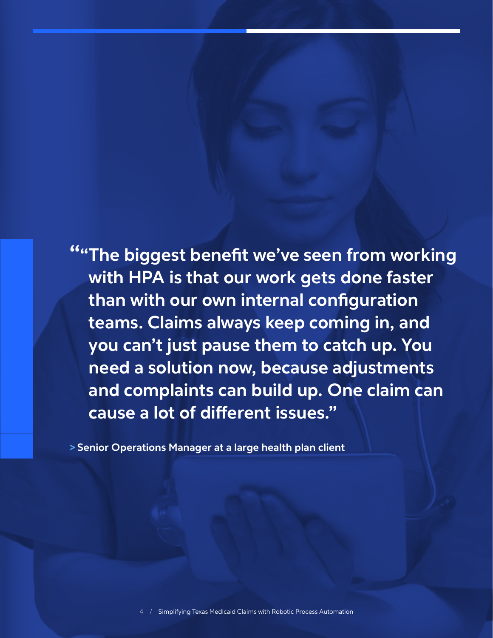**""The biggest benefit we've seen from working with HPA is that our work gets done faster than with our own internal configuration teams. Claims always keep coming in, and you can't just pause them to catch up. You need a solution now, because adjustments and complaints can build up. One claim can cause a lot of different issues."** 

**> Senior Operations Manager at a large health plan client**